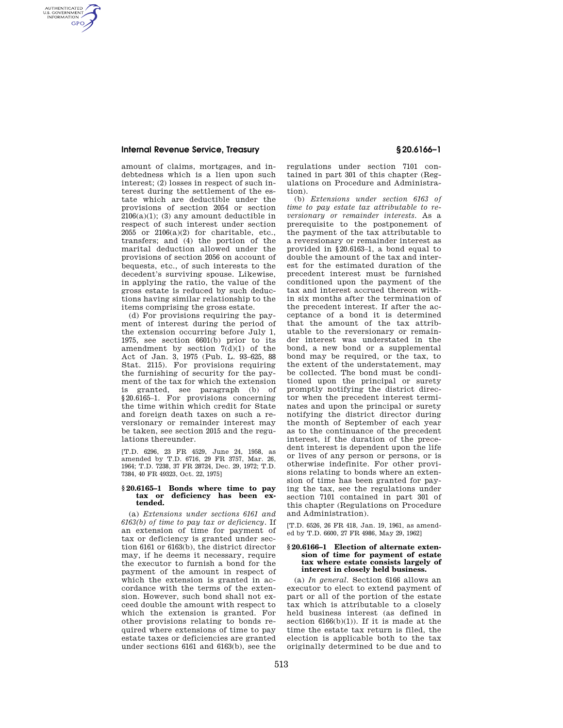# **Internal Revenue Service, Treasury § 20.6166–1**

AUTHENTICATED<br>U.S. GOVERNMENT<br>INFORMATION **GPO** 

> amount of claims, mortgages, and indebtedness which is a lien upon such interest; (2) losses in respect of such interest during the settlement of the estate which are deductible under the provisions of section 2054 or section  $2106(a)(1)$ ; (3) any amount deductible in respect of such interest under section  $2055$  or  $2106(a)(2)$  for charitable, etc., transfers; and (4) the portion of the marital deduction allowed under the provisions of section 2056 on account of bequests, etc., of such interests to the decedent's surviving spouse. Likewise, in applying the ratio, the value of the gross estate is reduced by such deductions having similar relationship to the items comprising the gross estate.

> (d) For provisions requiring the payment of interest during the period of the extension occurring before July 1, 1975, see section 6601(b) prior to its amendment by section  $7(d)(1)$  of the Act of Jan. 3, 1975 (Pub. L. 93–625, 88 Stat. 2115). For provisions requiring the furnishing of security for the payment of the tax for which the extension is granted, see paragraph (b) of §20.6165–1. For provisions concerning the time within which credit for State and foreign death taxes on such a reversionary or remainder interest may be taken, see section 2015 and the regulations thereunder.

[T.D. 6296, 23 FR 4529, June 24, 1958, as amended by T.D. 6716, 29 FR 3757, Mar. 26, 1964; T.D. 7238, 37 FR 28724, Dec. 29, 1972; T.D. 7384, 40 FR 49323, Oct. 22, 1975]

### **§ 20.6165–1 Bonds where time to pay tax or deficiency has been extended.**

(a) *Extensions under sections 6161 and 6163(b) of time to pay tax or deficiency.* If an extension of time for payment of tax or deficiency is granted under section 6161 or 6163(b), the district director may, if he deems it necessary, require the executor to furnish a bond for the payment of the amount in respect of which the extension is granted in accordance with the terms of the extension. However, such bond shall not exceed double the amount with respect to which the extension is granted. For other provisions relating to bonds required where extensions of time to pay estate taxes or deficiencies are granted under sections 6161 and 6163(b), see the

regulations under section 7101 contained in part 301 of this chapter (Regulations on Procedure and Administration).

(b) *Extensions under section 6163 of time to pay estate tax attributable to reversionary or remainder interests.* As a prerequisite to the postponement of the payment of the tax attributable to a reversionary or remainder interest as provided in §20.6163–1, a bond equal to double the amount of the tax and interest for the estimated duration of the precedent interest must be furnished conditioned upon the payment of the tax and interest accrued thereon within six months after the termination of the precedent interest. If after the acceptance of a bond it is determined that the amount of the tax attributable to the reversionary or remainder interest was understated in the bond, a new bond or a supplemental bond may be required, or the tax, to the extent of the understatement, may be collected. The bond must be conditioned upon the principal or surety promptly notifying the district director when the precedent interest terminates and upon the principal or surety notifying the district director during the month of September of each year as to the continuance of the precedent interest, if the duration of the precedent interest is dependent upon the life or lives of any person or persons, or is otherwise indefinite. For other provisions relating to bonds where an extension of time has been granted for paying the tax, see the regulations under section 7101 contained in part 301 of this chapter (Regulations on Procedure and Administration).

[T.D. 6526, 26 FR 418, Jan. 19, 1961, as amended by T.D. 6600, 27 FR 4986, May 29, 1962]

### **§ 20.6166–1 Election of alternate extension of time for payment of estate tax where estate consists largely of interest in closely held business.**

(a) *In general.* Section 6166 allows an executor to elect to extend payment of part or all of the portion of the estate tax which is attributable to a closely held business interest (as defined in section  $6166(b)(1)$ ). If it is made at the time the estate tax return is filed, the election is applicable both to the tax originally determined to be due and to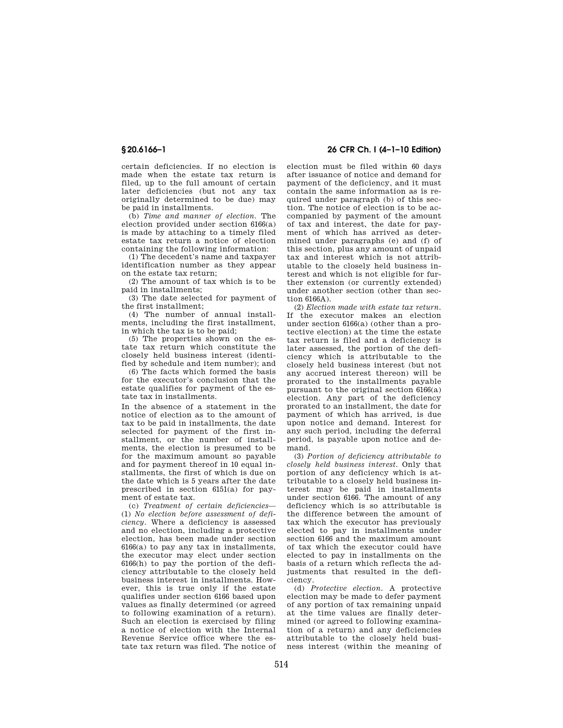certain deficiencies. If no election is made when the estate tax return is filed, up to the full amount of certain later deficiencies (but not any tax originally determined to be due) may be paid in installments.

(b) *Time and manner of election.* The election provided under section 6166(a) is made by attaching to a timely filed estate tax return a notice of election containing the following information:

(1) The decedent's name and taxpayer identification number as they appear on the estate tax return;

(2) The amount of tax which is to be paid in installments;

(3) The date selected for payment of the first installment;

(4) The number of annual installments, including the first installment, in which the tax is to be paid;

(5) The properties shown on the estate tax return which constitute the closely held business interest (identified by schedule and item number); and

(6) The facts which formed the basis for the executor's conclusion that the estate qualifies for payment of the estate tax in installments.

In the absence of a statement in the notice of election as to the amount of tax to be paid in installments, the date selected for payment of the first installment, or the number of installments, the election is presumed to be for the maximum amount so payable and for payment thereof in 10 equal installments, the first of which is due on the date which is 5 years after the date prescribed in section 6151(a) for payment of estate tax.

(c) *Treatment of certain deficiencies*— (1) *No election before assessment of deficiency.* Where a deficiency is assessed and no election, including a protective election, has been made under section  $6166(a)$  to pay any tax in installments. the executor may elect under section 6166(h) to pay the portion of the deficiency attributable to the closely held business interest in installments. However, this is true only if the estate qualifies under section 6166 based upon values as finally determined (or agreed to following examination of a return). Such an election is exercised by filing a notice of election with the Internal Revenue Service office where the estate tax return was filed. The notice of

# **§ 20.6166–1 26 CFR Ch. I (4–1–10 Edition)**

election must be filed within 60 days after issuance of notice and demand for payment of the deficiency, and it must contain the same information as is required under paragraph (b) of this section. The notice of election is to be accompanied by payment of the amount of tax and interest, the date for payment of which has arrived as determined under paragraphs (e) and (f) of this section, plus any amount of unpaid tax and interest which is not attributable to the closely held business interest and which is not eligible for further extension (or currently extended) under another section (other than section 6166A).

(2) *Election made with estate tax return.*  If the executor makes an election under section 6166(a) (other than a protective election) at the time the estate tax return is filed and a deficiency is later assessed, the portion of the deficiency which is attributable to the closely held business interest (but not any accrued interest thereon) will be prorated to the installments payable pursuant to the original section 6166(a) election. Any part of the deficiency prorated to an installment, the date for payment of which has arrived, is due upon notice and demand. Interest for any such period, including the deferral period, is payable upon notice and demand.

(3) *Portion of deficiency attributable to closely held business interest.* Only that portion of any deficiency which is attributable to a closely held business interest may be paid in installments under section 6166. The amount of any deficiency which is so attributable is the difference between the amount of tax which the executor has previously elected to pay in installments under section 6166 and the maximum amount of tax which the executor could have elected to pay in installments on the basis of a return which reflects the adjustments that resulted in the deficiency.

(d) *Protective election.* A protective election may be made to defer payment of any portion of tax remaining unpaid at the time values are finally determined (or agreed to following examination of a return) and any deficiencies attributable to the closely held business interest (within the meaning of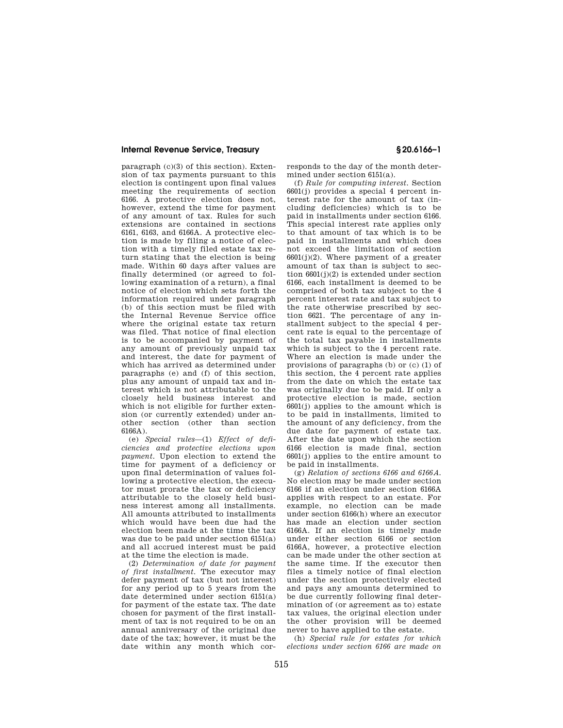# **Internal Revenue Service, Treasury § 20.6166–1**

paragraph (c)(3) of this section). Extension of tax payments pursuant to this election is contingent upon final values meeting the requirements of section 6166. A protective election does not, however, extend the time for payment of any amount of tax. Rules for such extensions are contained in sections 6161, 6163, and 6166A. A protective election is made by filing a notice of election with a timely filed estate tax return stating that the election is being made. Within 60 days after values are finally determined (or agreed to following examination of a return), a final notice of election which sets forth the information required under paragraph (b) of this section must be filed with the Internal Revenue Service office where the original estate tax return was filed. That notice of final election is to be accompanied by payment of any amount of previously unpaid tax and interest, the date for payment of which has arrived as determined under paragraphs (e) and (f) of this section, plus any amount of unpaid tax and interest which is not attributable to the closely held business interest and which is not eligible for further extension (or currently extended) under another section (other than section 6166A).

(e) *Special rules*—(1) *Effect of deficiencies and protective elections upon payment.* Upon election to extend the time for payment of a deficiency or upon final determination of values following a protective election, the executor must prorate the tax or deficiency attributable to the closely held business interest among all installments. All amounts attributed to installments which would have been due had the election been made at the time the tax was due to be paid under section 6151(a) and all accrued interest must be paid at the time the election is made.

(2) *Determination of date for payment of first installment.* The executor may defer payment of tax (but not interest) for any period up to 5 years from the date determined under section 6151(a) for payment of the estate tax. The date chosen for payment of the first installment of tax is not required to be on an annual anniversary of the original due date of the tax; however, it must be the date within any month which corresponds to the day of the month determined under section 6151(a).

(f) *Rule for computing interest.* Section 6601(j) provides a special 4 percent interest rate for the amount of tax (including deficiencies) which is to be paid in installments under section 6166. This special interest rate applies only to that amount of tax which is to be paid in installments and which does not exceed the limitation of section  $6601(j)(2)$ . Where payment of a greater amount of tax than is subject to section  $6601(j)(2)$  is extended under section 6166, each installment is deemed to be comprised of both tax subject to the 4 percent interest rate and tax subject to the rate otherwise prescribed by section 6621. The percentage of any installment subject to the special 4 percent rate is equal to the percentage of the total tax payable in installments which is subject to the 4 percent rate. Where an election is made under the provisions of paragraphs (b) or (c) (1) of this section, the 4 percent rate applies from the date on which the estate tax was originally due to be paid. If only a protective election is made, section 6601(j) applies to the amount which is to be paid in installments, limited to the amount of any deficiency, from the due date for payment of estate tax. After the date upon which the section 6166 election is made final, section 6601(j) applies to the entire amount to be paid in installments.

(g) *Relation of sections 6166 and 6166A.*  No election may be made under section 6166 if an election under section 6166A applies with respect to an estate. For example, no election can be made under section 6166(h) where an executor has made an election under section 6166A. If an election is timely made under either section 6166 or section 6166A, however, a protective election can be made under the other section at the same time. If the executor then files a timely notice of final election under the section protectively elected and pays any amounts determined to be due currently following final determination of (or agreement as to) estate tax values, the original election under the other provision will be deemed never to have applied to the estate.

(h) *Special rule for estates for which elections under section 6166 are made on*